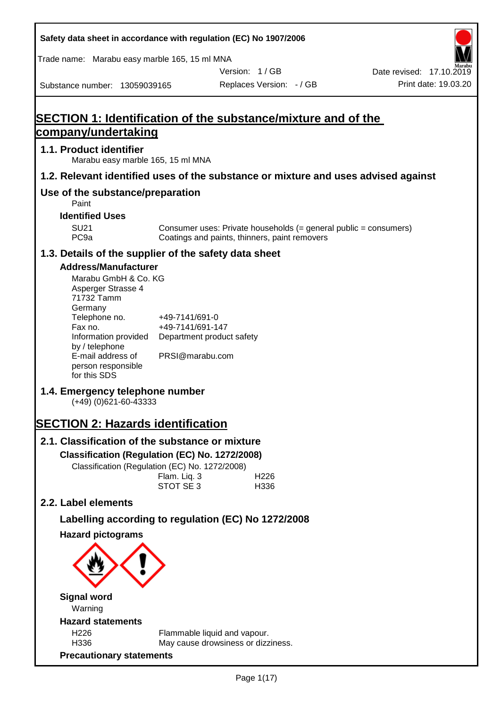| Safety data sheet in accordance with regulation (EC) No 1907/2006                                                                                                        |                                                                 |                                               |                                                                  |                                                  |
|--------------------------------------------------------------------------------------------------------------------------------------------------------------------------|-----------------------------------------------------------------|-----------------------------------------------|------------------------------------------------------------------|--------------------------------------------------|
| Trade name: Marabu easy marble 165, 15 ml MNA                                                                                                                            |                                                                 |                                               |                                                                  |                                                  |
| Substance number: 13059039165                                                                                                                                            |                                                                 | Version: 1/GB<br>Replaces Version: - / GB     |                                                                  | Date revised: 17.10.2019<br>Print date: 19.03.20 |
|                                                                                                                                                                          |                                                                 |                                               |                                                                  |                                                  |
| <b>SECTION 1: Identification of the substance/mixture and of the</b>                                                                                                     |                                                                 |                                               |                                                                  |                                                  |
| <u>company/undertaking</u>                                                                                                                                               |                                                                 |                                               |                                                                  |                                                  |
| 1.1. Product identifier<br>Marabu easy marble 165, 15 ml MNA                                                                                                             |                                                                 |                                               |                                                                  |                                                  |
| 1.2. Relevant identified uses of the substance or mixture and uses advised against                                                                                       |                                                                 |                                               |                                                                  |                                                  |
| Use of the substance/preparation<br>Paint                                                                                                                                |                                                                 |                                               |                                                                  |                                                  |
| <b>Identified Uses</b>                                                                                                                                                   |                                                                 |                                               |                                                                  |                                                  |
| <b>SU21</b><br>PC <sub>9a</sub>                                                                                                                                          |                                                                 | Coatings and paints, thinners, paint removers | Consumer uses: Private households (= general public = consumers) |                                                  |
| 1.3. Details of the supplier of the safety data sheet                                                                                                                    |                                                                 |                                               |                                                                  |                                                  |
| <b>Address/Manufacturer</b><br>Marabu GmbH & Co. KG<br>Asperger Strasse 4<br>71732 Tamm<br>Germany<br>Telephone no.<br>Fax no.<br>Information provided<br>by / telephone | +49-7141/691-0<br>+49-7141/691-147<br>Department product safety |                                               |                                                                  |                                                  |
| E-mail address of<br>person responsible<br>for this SDS                                                                                                                  | PRSI@marabu.com                                                 |                                               |                                                                  |                                                  |
| 1.4. Emergency telephone number<br>$(+49)$ (0)621-60-43333                                                                                                               |                                                                 |                                               |                                                                  |                                                  |
| <b>SECTION 2: Hazards identification</b>                                                                                                                                 |                                                                 |                                               |                                                                  |                                                  |
| 2.1. Classification of the substance or mixture<br>Classification (Regulation (EC) No. 1272/2008)<br>Classification (Regulation (EC) No. 1272/2008)                      | Flam. Liq. 3<br>STOT SE 3                                       | H226<br>H336                                  |                                                                  |                                                  |
| 2.2. Label elements                                                                                                                                                      |                                                                 |                                               |                                                                  |                                                  |
| Labelling according to regulation (EC) No 1272/2008                                                                                                                      |                                                                 |                                               |                                                                  |                                                  |
| <b>Hazard pictograms</b>                                                                                                                                                 |                                                                 |                                               |                                                                  |                                                  |
| <b>Signal word</b><br>Warning                                                                                                                                            |                                                                 |                                               |                                                                  |                                                  |
| <b>Hazard statements</b>                                                                                                                                                 |                                                                 |                                               |                                                                  |                                                  |
| H226<br>H336<br><b>Precautionary statements</b>                                                                                                                          | Flammable liquid and vapour.                                    | May cause drowsiness or dizziness.            |                                                                  |                                                  |
|                                                                                                                                                                          |                                                                 |                                               |                                                                  |                                                  |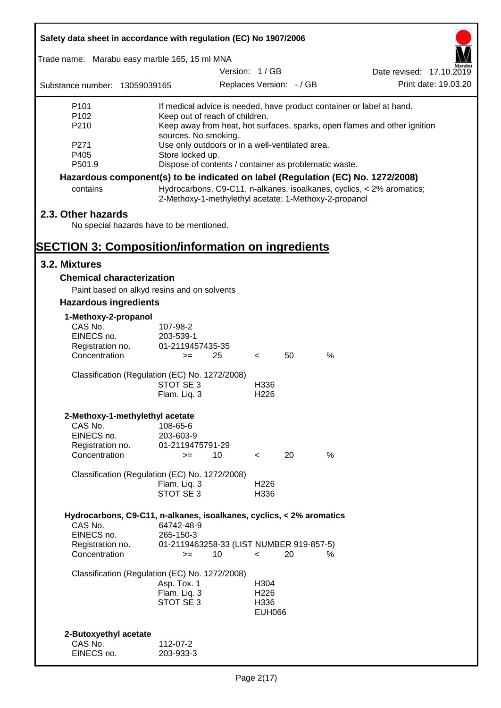| Safety data sheet in accordance with regulation (EC) No 1907/2006               |                                                       |               |                  |                          |      |                                                                           |
|---------------------------------------------------------------------------------|-------------------------------------------------------|---------------|------------------|--------------------------|------|---------------------------------------------------------------------------|
| Trade name: Marabu easy marble 165, 15 ml MNA                                   |                                                       |               |                  |                          |      |                                                                           |
|                                                                                 |                                                       | Version: 1/GB |                  |                          |      | Date revised: 17.10.2019                                                  |
| Substance number: 13059039165                                                   |                                                       |               |                  | Replaces Version: - / GB |      | Print date: 19.03.20                                                      |
| P <sub>101</sub>                                                                |                                                       |               |                  |                          |      | If medical advice is needed, have product container or label at hand.     |
| P102<br>P210                                                                    | Keep out of reach of children.                        |               |                  |                          |      | Keep away from heat, hot surfaces, sparks, open flames and other ignition |
|                                                                                 | sources. No smoking.                                  |               |                  |                          |      |                                                                           |
| P <sub>271</sub>                                                                | Use only outdoors or in a well-ventilated area.       |               |                  |                          |      |                                                                           |
| P405                                                                            | Store locked up.                                      |               |                  |                          |      |                                                                           |
| P501.9                                                                          | Dispose of contents / container as problematic waste. |               |                  |                          |      |                                                                           |
| Hazardous component(s) to be indicated on label (Regulation (EC) No. 1272/2008) |                                                       |               |                  |                          |      |                                                                           |
| contains                                                                        | 2-Methoxy-1-methylethyl acetate; 1-Methoxy-2-propanol |               |                  |                          |      | Hydrocarbons, C9-C11, n-alkanes, isoalkanes, cyclics, < 2% aromatics;     |
| 2.3. Other hazards                                                              |                                                       |               |                  |                          |      |                                                                           |
| No special hazards have to be mentioned.                                        |                                                       |               |                  |                          |      |                                                                           |
|                                                                                 |                                                       |               |                  |                          |      |                                                                           |
| <b>SECTION 3: Composition/information on ingredients</b>                        |                                                       |               |                  |                          |      |                                                                           |
| 3.2. Mixtures                                                                   |                                                       |               |                  |                          |      |                                                                           |
| <b>Chemical characterization</b>                                                |                                                       |               |                  |                          |      |                                                                           |
| Paint based on alkyd resins and on solvents                                     |                                                       |               |                  |                          |      |                                                                           |
| <b>Hazardous ingredients</b>                                                    |                                                       |               |                  |                          |      |                                                                           |
| 1-Methoxy-2-propanol                                                            |                                                       |               |                  |                          |      |                                                                           |
| CAS No.                                                                         | 107-98-2                                              |               |                  |                          |      |                                                                           |
| EINECS no.                                                                      | 203-539-1                                             |               |                  |                          |      |                                                                           |
| Registration no.                                                                | 01-2119457435-35                                      |               |                  |                          |      |                                                                           |
| Concentration                                                                   | $>=$                                                  | 25            | $\lt$            | 50                       | $\%$ |                                                                           |
| Classification (Regulation (EC) No. 1272/2008)                                  |                                                       |               |                  |                          |      |                                                                           |
|                                                                                 | STOT SE 3                                             |               | H336             |                          |      |                                                                           |
|                                                                                 | Flam. Liq. 3                                          |               | H <sub>226</sub> |                          |      |                                                                           |
|                                                                                 |                                                       |               |                  |                          |      |                                                                           |
| 2-Methoxy-1-methylethyl acetate<br>CAS No.                                      | 108-65-6                                              |               |                  |                          |      |                                                                           |
| EINECS no.                                                                      | 203-603-9                                             |               |                  |                          |      |                                                                           |
| Registration no.                                                                | 01-2119475791-29                                      |               |                  |                          |      |                                                                           |
| Concentration                                                                   | $>=$                                                  | 10            | $\prec$          | 20                       | %    |                                                                           |
| Classification (Regulation (EC) No. 1272/2008)                                  |                                                       |               |                  |                          |      |                                                                           |
|                                                                                 | Flam. Liq. 3                                          |               | H <sub>226</sub> |                          |      |                                                                           |
|                                                                                 | STOT SE 3                                             |               | H336             |                          |      |                                                                           |
|                                                                                 |                                                       |               |                  |                          |      |                                                                           |
| Hydrocarbons, C9-C11, n-alkanes, isoalkanes, cyclics, < 2% aromatics            |                                                       |               |                  |                          |      |                                                                           |
| CAS No.<br>EINECS no.                                                           | 64742-48-9                                            |               |                  |                          |      |                                                                           |
| Registration no.                                                                | 265-150-3<br>01-2119463258-33 (LIST NUMBER 919-857-5) |               |                  |                          |      |                                                                           |
| Concentration                                                                   | $>=$                                                  | 10            | $\lt$            | 20                       | %    |                                                                           |
|                                                                                 |                                                       |               |                  |                          |      |                                                                           |
| Classification (Regulation (EC) No. 1272/2008)                                  | Asp. Tox. 1                                           |               | H304             |                          |      |                                                                           |
|                                                                                 | Flam. Liq. 3                                          |               | H <sub>226</sub> |                          |      |                                                                           |
|                                                                                 | STOT SE 3                                             |               | H336             |                          |      |                                                                           |
|                                                                                 |                                                       |               | <b>EUH066</b>    |                          |      |                                                                           |
|                                                                                 |                                                       |               |                  |                          |      |                                                                           |
| 2-Butoxyethyl acetate                                                           |                                                       |               |                  |                          |      |                                                                           |
| CAS No.                                                                         | 112-07-2                                              |               |                  |                          |      |                                                                           |
| EINECS no.                                                                      | 203-933-3                                             |               |                  |                          |      |                                                                           |

Г

 $\overline{\mathbf{1}}$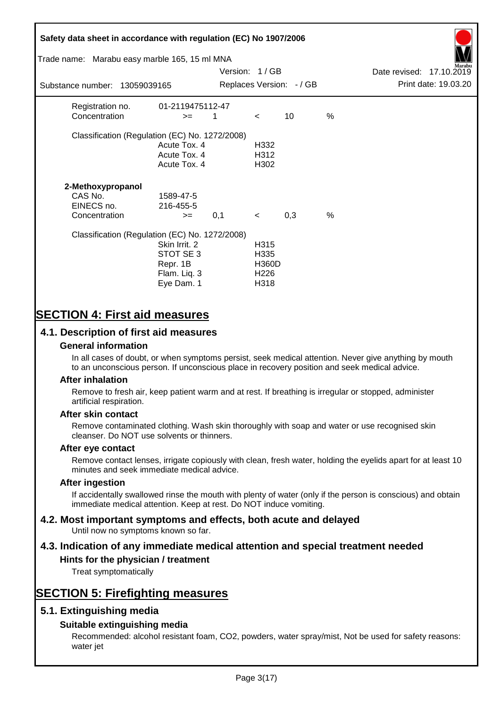# **Safety data sheet in accordance with regulation (EC) No 1907/2006** Substance number: 13059039165 Version: 1 / GB Replaces Version:  $-$  / GB Print date: 19.03.20 Date revised: 17.10.2019 Trade name: Marabu easy marble 165, 15 ml MNA Registration no. 01-2119475112-47  $\text{Concentration}$   $\geq$  1 < 10 % Classification (Regulation (EC) No. 1272/2008) Acute Tox. 4 H332 Acute Tox. 4 H312 Acute Tox. 4 H302 **2-Methoxypropanol** CAS No. 1589-47-5 EINECS no. 216-455-5  $\text{Concentration}$   $\rightarrow$  0.1 < 0.3 % Classification (Regulation (EC) No. 1272/2008) Skin Irrit. 2 H315 STOT SE 3 H335 Repr. 1B H360D Flam. Liq. 3 H226 Eye Dam. 1 H318

# **SECTION 4: First aid measures**

## **4.1. Description of first aid measures**

#### **General information**

In all cases of doubt, or when symptoms persist, seek medical attention. Never give anything by mouth to an unconscious person. If unconscious place in recovery position and seek medical advice.

#### **After inhalation**

Remove to fresh air, keep patient warm and at rest. If breathing is irregular or stopped, administer artificial respiration.

#### **After skin contact**

Remove contaminated clothing. Wash skin thoroughly with soap and water or use recognised skin cleanser. Do NOT use solvents or thinners.

#### **After eye contact**

Remove contact lenses, irrigate copiously with clean, fresh water, holding the eyelids apart for at least 10 minutes and seek immediate medical advice.

#### **After ingestion**

If accidentally swallowed rinse the mouth with plenty of water (only if the person is conscious) and obtain immediate medical attention. Keep at rest. Do NOT induce vomiting.

# **4.2. Most important symptoms and effects, both acute and delayed**

Until now no symptoms known so far.

# **4.3. Indication of any immediate medical attention and special treatment needed**

#### **Hints for the physician / treatment**

Treat symptomatically

# **SECTION 5: Firefighting measures**

## **5.1. Extinguishing media**

## **Suitable extinguishing media**

Recommended: alcohol resistant foam, CO2, powders, water spray/mist, Not be used for safety reasons: water jet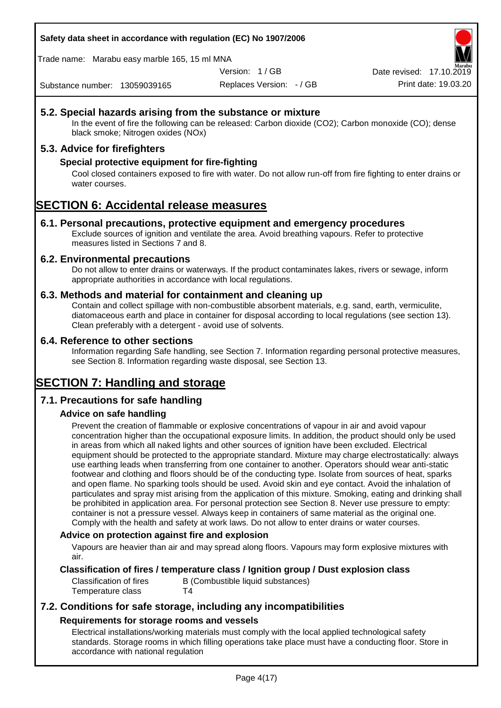**Safety data sheet in accordance with regulation (EC) No 1907/2006**

Trade name: Marabu easy marble 165, 15 ml MNA

Version: 1 / GB

Replaces Version: - / GB Print date: 19.03.20 Date revised: 17.10.2

Substance number: 13059039165

## **5.2. Special hazards arising from the substance or mixture**

In the event of fire the following can be released: Carbon dioxide (CO2); Carbon monoxide (CO); dense black smoke; Nitrogen oxides (NOx)

## **5.3. Advice for firefighters**

### **Special protective equipment for fire-fighting**

Cool closed containers exposed to fire with water. Do not allow run-off from fire fighting to enter drains or water courses.

# **SECTION 6: Accidental release measures**

#### **6.1. Personal precautions, protective equipment and emergency procedures**

Exclude sources of ignition and ventilate the area. Avoid breathing vapours. Refer to protective measures listed in Sections 7 and 8.

#### **6.2. Environmental precautions**

Do not allow to enter drains or waterways. If the product contaminates lakes, rivers or sewage, inform appropriate authorities in accordance with local regulations.

#### **6.3. Methods and material for containment and cleaning up**

Contain and collect spillage with non-combustible absorbent materials, e.g. sand, earth, vermiculite, diatomaceous earth and place in container for disposal according to local regulations (see section 13). Clean preferably with a detergent - avoid use of solvents.

#### **6.4. Reference to other sections**

Information regarding Safe handling, see Section 7. Information regarding personal protective measures, see Section 8. Information regarding waste disposal, see Section 13.

# **SECTION 7: Handling and storage**

## **7.1. Precautions for safe handling**

## **Advice on safe handling**

Prevent the creation of flammable or explosive concentrations of vapour in air and avoid vapour concentration higher than the occupational exposure limits. In addition, the product should only be used in areas from which all naked lights and other sources of ignition have been excluded. Electrical equipment should be protected to the appropriate standard. Mixture may charge electrostatically: always use earthing leads when transferring from one container to another. Operators should wear anti-static footwear and clothing and floors should be of the conducting type. Isolate from sources of heat, sparks and open flame. No sparking tools should be used. Avoid skin and eye contact. Avoid the inhalation of particulates and spray mist arising from the application of this mixture. Smoking, eating and drinking shall be prohibited in application area. For personal protection see Section 8. Never use pressure to empty: container is not a pressure vessel. Always keep in containers of same material as the original one. Comply with the health and safety at work laws. Do not allow to enter drains or water courses.

#### **Advice on protection against fire and explosion**

Vapours are heavier than air and may spread along floors. Vapours may form explosive mixtures with air.

#### **Classification of fires / temperature class / Ignition group / Dust explosion class**

Classification of fires B (Combustible liquid substances) Temperature class T4

## **7.2. Conditions for safe storage, including any incompatibilities Requirements for storage rooms and vessels**

Electrical installations/working materials must comply with the local applied technological safety standards. Storage rooms in which filling operations take place must have a conducting floor. Store in accordance with national regulation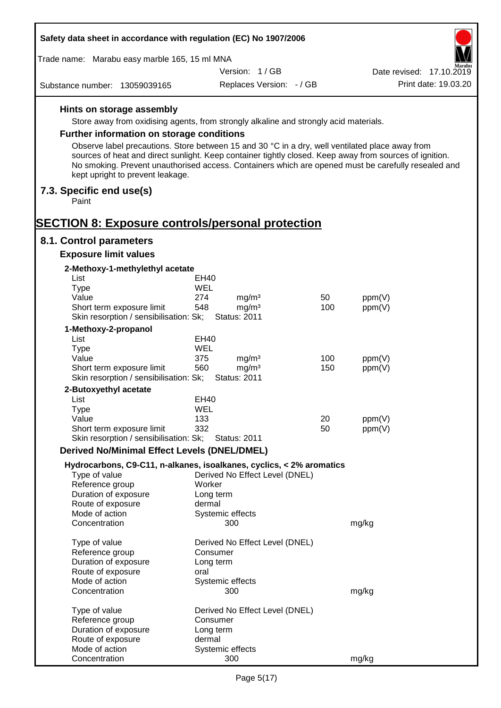| Safety data sheet in accordance with regulation (EC) No 1907/2006                                       |                                                      |                          |                  |                          |
|---------------------------------------------------------------------------------------------------------|------------------------------------------------------|--------------------------|------------------|--------------------------|
| Trade name: Marabu easy marble 165, 15 ml MNA                                                           |                                                      |                          |                  |                          |
|                                                                                                         | Version: 1/GB                                        |                          |                  | Date revised: 17.10.2019 |
| Substance number: 13059039165                                                                           |                                                      | Replaces Version: - / GB |                  | Print date: 19.03.20     |
| Hints on storage assembly                                                                               |                                                      |                          |                  |                          |
| Store away from oxidising agents, from strongly alkaline and strongly acid materials.                   |                                                      |                          |                  |                          |
| <b>Further information on storage conditions</b>                                                        |                                                      |                          |                  |                          |
| Observe label precautions. Store between 15 and 30 °C in a dry, well ventilated place away from         |                                                      |                          |                  |                          |
| sources of heat and direct sunlight. Keep container tightly closed. Keep away from sources of ignition. |                                                      |                          |                  |                          |
| No smoking. Prevent unauthorised access. Containers which are opened must be carefully resealed and     |                                                      |                          |                  |                          |
| kept upright to prevent leakage.                                                                        |                                                      |                          |                  |                          |
| 7.3. Specific end use(s)<br>Paint                                                                       |                                                      |                          |                  |                          |
| <b>SECTION 8: Exposure controls/personal protection</b>                                                 |                                                      |                          |                  |                          |
| 8.1. Control parameters                                                                                 |                                                      |                          |                  |                          |
| <b>Exposure limit values</b>                                                                            |                                                      |                          |                  |                          |
| 2-Methoxy-1-methylethyl acetate                                                                         |                                                      |                          |                  |                          |
| List                                                                                                    | EH40                                                 |                          |                  |                          |
| Type                                                                                                    | WEL                                                  |                          |                  |                          |
| Value<br>Short term exposure limit                                                                      | 274<br>mg/m <sup>3</sup><br>548<br>mg/m <sup>3</sup> | 50<br>100                | ppm(V)<br>ppm(V) |                          |
| Skin resorption / sensibilisation: Sk;                                                                  | <b>Status: 2011</b>                                  |                          |                  |                          |
| 1-Methoxy-2-propanol                                                                                    |                                                      |                          |                  |                          |
| List                                                                                                    | EH40                                                 |                          |                  |                          |
| <b>Type</b>                                                                                             | <b>WEL</b>                                           |                          |                  |                          |
| Value                                                                                                   | 375<br>mg/m <sup>3</sup>                             | 100                      | ppm(V)           |                          |
| Short term exposure limit<br>Skin resorption / sensibilisation: Sk;                                     | 560<br>mg/m <sup>3</sup><br><b>Status: 2011</b>      | 150                      | ppm(V)           |                          |
| 2-Butoxyethyl acetate                                                                                   |                                                      |                          |                  |                          |
| List                                                                                                    | <b>EH40</b>                                          |                          |                  |                          |
| Type                                                                                                    | <b>WEL</b>                                           |                          |                  |                          |
| Value                                                                                                   | 133                                                  | 20                       | ppm(V)           |                          |
| Short term exposure limit<br>Skin resorption / sensibilisation: Sk;                                     | 332<br><b>Status: 2011</b>                           | 50                       | ppm(V)           |                          |
| <b>Derived No/Minimal Effect Levels (DNEL/DMEL)</b>                                                     |                                                      |                          |                  |                          |
| Hydrocarbons, C9-C11, n-alkanes, isoalkanes, cyclics, < 2% aromatics                                    |                                                      |                          |                  |                          |
| Type of value                                                                                           | Derived No Effect Level (DNEL)                       |                          |                  |                          |
| Reference group                                                                                         | Worker                                               |                          |                  |                          |
| Duration of exposure                                                                                    | Long term                                            |                          |                  |                          |
| Route of exposure                                                                                       | dermal                                               |                          |                  |                          |
| Mode of action<br>Concentration                                                                         | Systemic effects<br>300                              |                          | mg/kg            |                          |
|                                                                                                         |                                                      |                          |                  |                          |
| Type of value<br>Reference group                                                                        | Derived No Effect Level (DNEL)<br>Consumer           |                          |                  |                          |
| Duration of exposure                                                                                    | Long term                                            |                          |                  |                          |
| Route of exposure                                                                                       | oral                                                 |                          |                  |                          |
| Mode of action                                                                                          | Systemic effects                                     |                          |                  |                          |
| Concentration                                                                                           | 300                                                  |                          | mg/kg            |                          |
| Type of value                                                                                           | Derived No Effect Level (DNEL)                       |                          |                  |                          |
| Reference group                                                                                         | Consumer                                             |                          |                  |                          |
| Duration of exposure                                                                                    | Long term                                            |                          |                  |                          |
| Route of exposure                                                                                       | dermal                                               |                          |                  |                          |
| Mode of action<br>Concentration                                                                         | Systemic effects<br>300                              |                          | mg/kg            |                          |
|                                                                                                         |                                                      |                          |                  |                          |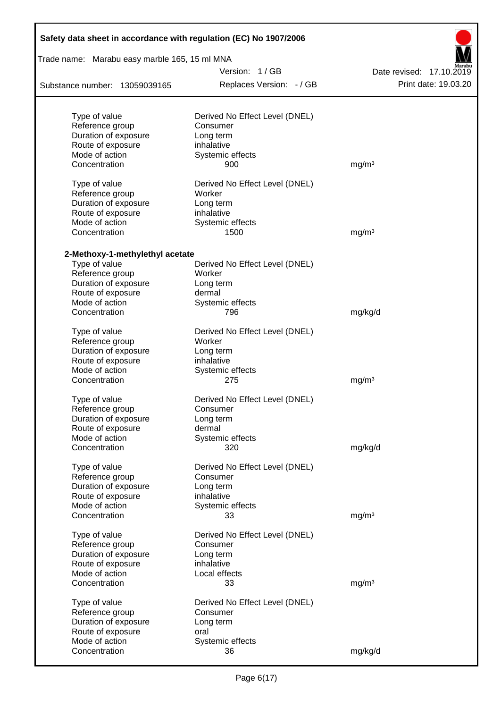| Safety data sheet in accordance with regulation (EC) No 1907/2006 |                                          |                          |  |  |  |
|-------------------------------------------------------------------|------------------------------------------|--------------------------|--|--|--|
| Trade name: Marabu easy marble 165, 15 ml MNA                     |                                          |                          |  |  |  |
|                                                                   | Version: 1/GB                            | Date revised: 17.10.2019 |  |  |  |
| Substance number: 13059039165                                     | Replaces Version: - / GB                 | Print date: 19.03.20     |  |  |  |
| Type of value                                                     | Derived No Effect Level (DNEL)           |                          |  |  |  |
| Reference group                                                   | Consumer                                 |                          |  |  |  |
| Duration of exposure                                              | Long term                                |                          |  |  |  |
| Route of exposure                                                 | inhalative                               |                          |  |  |  |
| Mode of action                                                    | Systemic effects                         |                          |  |  |  |
| Concentration                                                     | 900                                      | mg/m <sup>3</sup>        |  |  |  |
| Type of value<br>Reference group                                  | Derived No Effect Level (DNEL)<br>Worker |                          |  |  |  |
| Duration of exposure                                              | Long term                                |                          |  |  |  |
| Route of exposure                                                 | inhalative                               |                          |  |  |  |
| Mode of action                                                    | Systemic effects                         |                          |  |  |  |
| Concentration                                                     | 1500                                     | mg/m <sup>3</sup>        |  |  |  |
| 2-Methoxy-1-methylethyl acetate                                   |                                          |                          |  |  |  |
| Type of value                                                     | Derived No Effect Level (DNEL)           |                          |  |  |  |
| Reference group                                                   | Worker                                   |                          |  |  |  |
| Duration of exposure                                              | Long term                                |                          |  |  |  |
| Route of exposure                                                 | dermal                                   |                          |  |  |  |
| Mode of action                                                    | Systemic effects                         |                          |  |  |  |
| Concentration                                                     | 796                                      | mg/kg/d                  |  |  |  |
| Type of value                                                     | Derived No Effect Level (DNEL)           |                          |  |  |  |
| Reference group                                                   | Worker                                   |                          |  |  |  |
| Duration of exposure                                              | Long term                                |                          |  |  |  |
| Route of exposure                                                 | inhalative                               |                          |  |  |  |
| Mode of action                                                    | Systemic effects                         |                          |  |  |  |
| Concentration                                                     | 275                                      | mg/m <sup>3</sup>        |  |  |  |
| Type of value                                                     | Derived No Effect Level (DNEL)           |                          |  |  |  |
| Reference group                                                   | Consumer                                 |                          |  |  |  |
| Duration of exposure                                              | Long term                                |                          |  |  |  |
| Route of exposure<br>Mode of action                               | dermal<br>Systemic effects               |                          |  |  |  |
| Concentration                                                     | 320                                      | mg/kg/d                  |  |  |  |
|                                                                   |                                          |                          |  |  |  |
| Type of value                                                     | Derived No Effect Level (DNEL)           |                          |  |  |  |
| Reference group                                                   | Consumer                                 |                          |  |  |  |
| Duration of exposure                                              | Long term                                |                          |  |  |  |
| Route of exposure                                                 | inhalative                               |                          |  |  |  |
| Mode of action                                                    | Systemic effects                         |                          |  |  |  |
| Concentration                                                     | 33                                       | mg/m <sup>3</sup>        |  |  |  |
| Type of value                                                     | Derived No Effect Level (DNEL)           |                          |  |  |  |
| Reference group                                                   | Consumer                                 |                          |  |  |  |
| Duration of exposure                                              | Long term                                |                          |  |  |  |
| Route of exposure                                                 | inhalative                               |                          |  |  |  |
| Mode of action                                                    | Local effects                            |                          |  |  |  |
| Concentration                                                     | 33                                       | mg/m <sup>3</sup>        |  |  |  |
| Type of value                                                     | Derived No Effect Level (DNEL)           |                          |  |  |  |
| Reference group                                                   | Consumer                                 |                          |  |  |  |
| Duration of exposure                                              | Long term                                |                          |  |  |  |
| Route of exposure                                                 | oral                                     |                          |  |  |  |
| Mode of action                                                    | Systemic effects                         |                          |  |  |  |
| Concentration                                                     | 36                                       | mg/kg/d                  |  |  |  |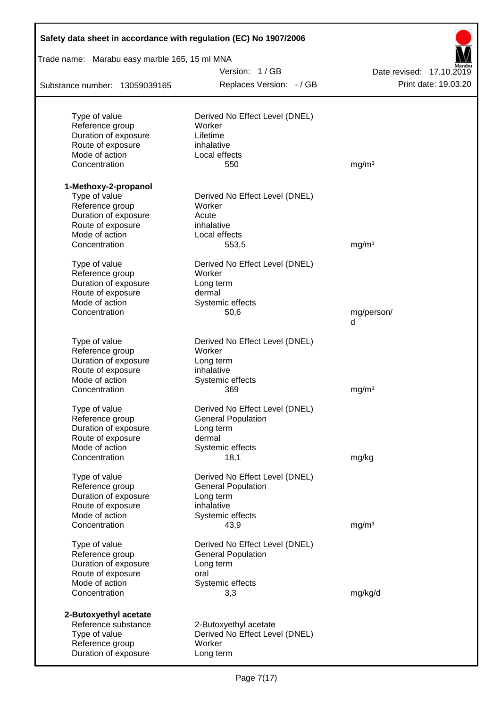| Safety data sheet in accordance with regulation (EC) No 1907/2006 |                                |                          |  |  |  |
|-------------------------------------------------------------------|--------------------------------|--------------------------|--|--|--|
| Trade name: Marabu easy marble 165, 15 ml MNA                     |                                |                          |  |  |  |
|                                                                   | Version: 1/GB                  | Date revised: 17.10.2019 |  |  |  |
| Substance number: 13059039165                                     | Replaces Version: - / GB       | Print date: 19.03.20     |  |  |  |
|                                                                   |                                |                          |  |  |  |
| Type of value                                                     | Derived No Effect Level (DNEL) |                          |  |  |  |
| Reference group                                                   | Worker                         |                          |  |  |  |
| Duration of exposure                                              | Lifetime                       |                          |  |  |  |
| Route of exposure<br>Mode of action                               | inhalative<br>Local effects    |                          |  |  |  |
| Concentration                                                     | 550                            | mg/m <sup>3</sup>        |  |  |  |
| 1-Methoxy-2-propanol                                              |                                |                          |  |  |  |
| Type of value                                                     | Derived No Effect Level (DNEL) |                          |  |  |  |
| Reference group                                                   | Worker                         |                          |  |  |  |
| Duration of exposure                                              | Acute                          |                          |  |  |  |
| Route of exposure                                                 | inhalative                     |                          |  |  |  |
| Mode of action                                                    | Local effects                  |                          |  |  |  |
| Concentration                                                     | 553,5                          | mg/m <sup>3</sup>        |  |  |  |
| Type of value                                                     | Derived No Effect Level (DNEL) |                          |  |  |  |
| Reference group                                                   | Worker                         |                          |  |  |  |
| Duration of exposure                                              | Long term                      |                          |  |  |  |
| Route of exposure                                                 | dermal                         |                          |  |  |  |
| Mode of action                                                    | Systemic effects               |                          |  |  |  |
| Concentration                                                     | 50,6                           | mg/person/<br>d          |  |  |  |
| Type of value                                                     | Derived No Effect Level (DNEL) |                          |  |  |  |
| Reference group                                                   | Worker                         |                          |  |  |  |
| Duration of exposure                                              | Long term                      |                          |  |  |  |
| Route of exposure                                                 | inhalative                     |                          |  |  |  |
| Mode of action                                                    | Systemic effects               |                          |  |  |  |
| Concentration                                                     | 369                            | mg/m <sup>3</sup>        |  |  |  |
| Type of value                                                     | Derived No Effect Level (DNEL) |                          |  |  |  |
| Reference group                                                   | <b>General Population</b>      |                          |  |  |  |
| Duration of exposure                                              | Long term                      |                          |  |  |  |
| Route of exposure                                                 | dermal                         |                          |  |  |  |
| Mode of action                                                    | Systemic effects               |                          |  |  |  |
| Concentration                                                     | 18,1                           | mg/kg                    |  |  |  |
| Type of value                                                     | Derived No Effect Level (DNEL) |                          |  |  |  |
| Reference group                                                   | <b>General Population</b>      |                          |  |  |  |
| Duration of exposure                                              | Long term                      |                          |  |  |  |
| Route of exposure                                                 | inhalative                     |                          |  |  |  |
| Mode of action<br>Concentration                                   | Systemic effects<br>43,9       | mg/m <sup>3</sup>        |  |  |  |
| Type of value                                                     | Derived No Effect Level (DNEL) |                          |  |  |  |
| Reference group                                                   | <b>General Population</b>      |                          |  |  |  |
| Duration of exposure                                              | Long term                      |                          |  |  |  |
| Route of exposure                                                 | oral                           |                          |  |  |  |
| Mode of action                                                    | Systemic effects               |                          |  |  |  |
| Concentration                                                     | 3,3                            | mg/kg/d                  |  |  |  |
| 2-Butoxyethyl acetate                                             |                                |                          |  |  |  |
| Reference substance                                               | 2-Butoxyethyl acetate          |                          |  |  |  |
| Type of value                                                     | Derived No Effect Level (DNEL) |                          |  |  |  |
| Reference group                                                   | Worker                         |                          |  |  |  |
| Duration of exposure                                              | Long term                      |                          |  |  |  |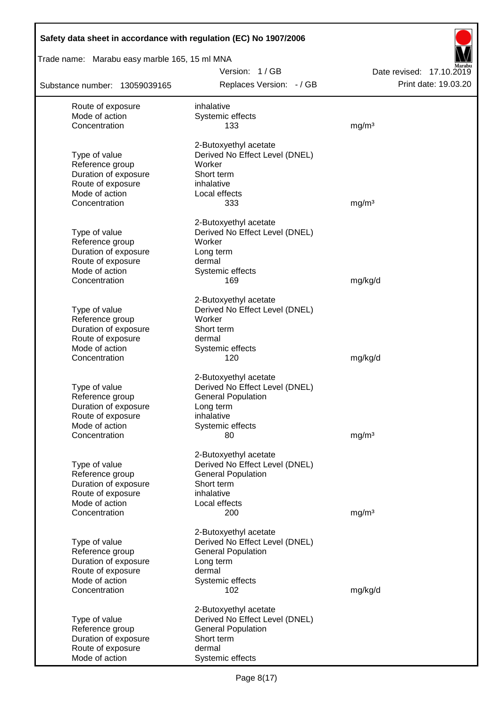| Safety data sheet in accordance with regulation (EC) No 1907/2006 |                                                         |                                                  |
|-------------------------------------------------------------------|---------------------------------------------------------|--------------------------------------------------|
| Trade name: Marabu easy marble 165, 15 ml MNA                     |                                                         |                                                  |
| Substance number: 13059039165                                     | Version: 1/GB<br>Replaces Version: - / GB               | Date revised: 17.10.2019<br>Print date: 19.03.20 |
| Route of exposure                                                 | inhalative                                              |                                                  |
| Mode of action                                                    | Systemic effects                                        |                                                  |
| Concentration                                                     | 133                                                     | mg/m <sup>3</sup>                                |
|                                                                   | 2-Butoxyethyl acetate                                   |                                                  |
| Type of value                                                     | Derived No Effect Level (DNEL)                          |                                                  |
| Reference group                                                   | Worker                                                  |                                                  |
| Duration of exposure                                              | Short term                                              |                                                  |
| Route of exposure                                                 | inhalative                                              |                                                  |
| Mode of action<br>Concentration                                   | Local effects<br>333                                    | mg/m <sup>3</sup>                                |
|                                                                   |                                                         |                                                  |
|                                                                   | 2-Butoxyethyl acetate                                   |                                                  |
| Type of value                                                     | Derived No Effect Level (DNEL)                          |                                                  |
| Reference group<br>Duration of exposure                           | Worker<br>Long term                                     |                                                  |
| Route of exposure                                                 | dermal                                                  |                                                  |
| Mode of action                                                    | Systemic effects                                        |                                                  |
| Concentration                                                     | 169                                                     | mg/kg/d                                          |
|                                                                   | 2-Butoxyethyl acetate                                   |                                                  |
| Type of value                                                     | Derived No Effect Level (DNEL)                          |                                                  |
| Reference group                                                   | Worker                                                  |                                                  |
| Duration of exposure                                              | Short term                                              |                                                  |
| Route of exposure                                                 | dermal                                                  |                                                  |
| Mode of action                                                    | Systemic effects                                        |                                                  |
| Concentration                                                     | 120                                                     | mg/kg/d                                          |
|                                                                   | 2-Butoxyethyl acetate                                   |                                                  |
| Type of value                                                     | Derived No Effect Level (DNEL)                          |                                                  |
| Reference group                                                   | <b>General Population</b>                               |                                                  |
| Duration of exposure                                              | Long term                                               |                                                  |
| Route of exposure<br>Mode of action                               | inhalative<br>Systemic effects                          |                                                  |
| Concentration                                                     | 80                                                      | mg/m <sup>3</sup>                                |
|                                                                   |                                                         |                                                  |
|                                                                   | 2-Butoxyethyl acetate<br>Derived No Effect Level (DNEL) |                                                  |
| Type of value<br>Reference group                                  | <b>General Population</b>                               |                                                  |
| Duration of exposure                                              | Short term                                              |                                                  |
| Route of exposure                                                 | inhalative                                              |                                                  |
| Mode of action                                                    | Local effects                                           |                                                  |
| Concentration                                                     | 200                                                     | mg/m <sup>3</sup>                                |
|                                                                   | 2-Butoxyethyl acetate                                   |                                                  |
| Type of value                                                     | Derived No Effect Level (DNEL)                          |                                                  |
| Reference group                                                   | <b>General Population</b>                               |                                                  |
| Duration of exposure                                              | Long term                                               |                                                  |
| Route of exposure                                                 | dermal                                                  |                                                  |
| Mode of action<br>Concentration                                   | Systemic effects<br>102                                 |                                                  |
|                                                                   |                                                         | mg/kg/d                                          |
|                                                                   | 2-Butoxyethyl acetate                                   |                                                  |
| Type of value                                                     | Derived No Effect Level (DNEL)                          |                                                  |
| Reference group<br>Duration of exposure                           | <b>General Population</b><br>Short term                 |                                                  |
| Route of exposure                                                 | dermal                                                  |                                                  |
| Mode of action                                                    | Systemic effects                                        |                                                  |
|                                                                   |                                                         |                                                  |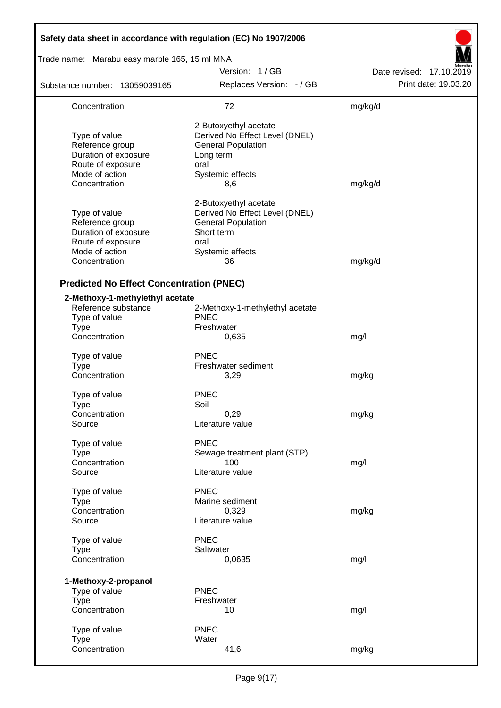| Safety data sheet in accordance with regulation (EC) No 1907/2006                                                |                                                                                                                                      |                          |
|------------------------------------------------------------------------------------------------------------------|--------------------------------------------------------------------------------------------------------------------------------------|--------------------------|
| Trade name: Marabu easy marble 165, 15 ml MNA                                                                    |                                                                                                                                      |                          |
|                                                                                                                  | Version: 1/GB                                                                                                                        | Date revised: 17.10.2019 |
| Substance number: 13059039165                                                                                    | Replaces Version: - / GB                                                                                                             | Print date: 19.03.20     |
| Concentration                                                                                                    | 72                                                                                                                                   | mg/kg/d                  |
| Type of value<br>Reference group<br>Duration of exposure<br>Route of exposure<br>Mode of action<br>Concentration | 2-Butoxyethyl acetate<br>Derived No Effect Level (DNEL)<br><b>General Population</b><br>Long term<br>oral<br>Systemic effects<br>8,6 | mg/kg/d                  |
| Type of value<br>Reference group<br>Duration of exposure<br>Route of exposure<br>Mode of action<br>Concentration | 2-Butoxyethyl acetate<br>Derived No Effect Level (DNEL)<br><b>General Population</b><br>Short term<br>oral<br>Systemic effects<br>36 | mg/kg/d                  |
| <b>Predicted No Effect Concentration (PNEC)</b>                                                                  |                                                                                                                                      |                          |
| 2-Methoxy-1-methylethyl acetate<br>Reference substance<br>Type of value<br><b>Type</b><br>Concentration          | 2-Methoxy-1-methylethyl acetate<br><b>PNEC</b><br>Freshwater<br>0,635                                                                | mg/l                     |
| Type of value<br>Type<br>Concentration                                                                           | <b>PNEC</b><br>Freshwater sediment<br>3,29                                                                                           | mg/kg                    |
| Type of value<br><b>Type</b><br>Concentration<br>Source                                                          | <b>PNEC</b><br>Soil<br>0,29<br>Literature value                                                                                      | mg/kg                    |
| Type of value<br><b>Type</b><br>Concentration<br>Source                                                          | <b>PNEC</b><br>Sewage treatment plant (STP)<br>100<br>Literature value                                                               | mg/l                     |
| Type of value<br><b>Type</b><br>Concentration<br>Source                                                          | <b>PNEC</b><br>Marine sediment<br>0,329<br>Literature value                                                                          | mg/kg                    |
| Type of value<br><b>Type</b><br>Concentration                                                                    | <b>PNEC</b><br>Saltwater<br>0,0635                                                                                                   | mg/l                     |
| 1-Methoxy-2-propanol<br>Type of value<br><b>Type</b><br>Concentration                                            | <b>PNEC</b><br>Freshwater<br>10                                                                                                      | mg/l                     |
| Type of value<br><b>Type</b><br>Concentration                                                                    | <b>PNEC</b><br>Water<br>41,6                                                                                                         | mg/kg                    |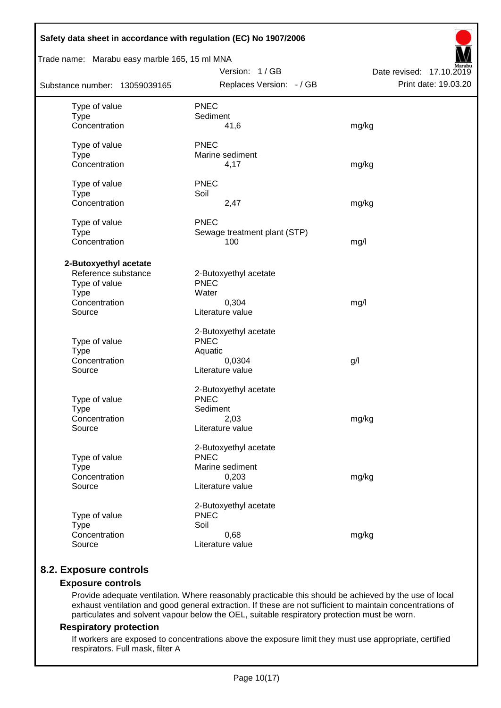| Safety data sheet in accordance with regulation (EC) No 1907/2006 |                              |                          |  |  |  |  |
|-------------------------------------------------------------------|------------------------------|--------------------------|--|--|--|--|
| Trade name: Marabu easy marble 165, 15 ml MNA                     |                              |                          |  |  |  |  |
|                                                                   | Version: 1/GB                | Date revised: 17.10.2019 |  |  |  |  |
| Substance number: 13059039165                                     | Replaces Version: - / GB     | Print date: 19.03.20     |  |  |  |  |
| Type of value                                                     | <b>PNEC</b>                  |                          |  |  |  |  |
| <b>Type</b>                                                       | Sediment                     |                          |  |  |  |  |
| Concentration                                                     | 41,6                         | mg/kg                    |  |  |  |  |
| Type of value                                                     | <b>PNEC</b>                  |                          |  |  |  |  |
| <b>Type</b>                                                       | Marine sediment              |                          |  |  |  |  |
| Concentration                                                     | 4,17                         | mg/kg                    |  |  |  |  |
| Type of value                                                     | <b>PNEC</b>                  |                          |  |  |  |  |
| <b>Type</b>                                                       | Soil                         |                          |  |  |  |  |
| Concentration                                                     | 2,47                         | mg/kg                    |  |  |  |  |
| Type of value                                                     | <b>PNEC</b>                  |                          |  |  |  |  |
| <b>Type</b>                                                       | Sewage treatment plant (STP) |                          |  |  |  |  |
| Concentration                                                     | 100                          | mg/l                     |  |  |  |  |
| 2-Butoxyethyl acetate                                             |                              |                          |  |  |  |  |
| Reference substance                                               | 2-Butoxyethyl acetate        |                          |  |  |  |  |
| Type of value                                                     | <b>PNEC</b>                  |                          |  |  |  |  |
| <b>Type</b>                                                       | Water                        |                          |  |  |  |  |
| Concentration                                                     | 0,304                        | mg/l                     |  |  |  |  |
| Source                                                            | Literature value             |                          |  |  |  |  |
|                                                                   | 2-Butoxyethyl acetate        |                          |  |  |  |  |
| Type of value                                                     | <b>PNEC</b>                  |                          |  |  |  |  |
| <b>Type</b>                                                       | Aquatic                      |                          |  |  |  |  |
| Concentration                                                     | 0,0304                       | g/l                      |  |  |  |  |
| Source                                                            | Literature value             |                          |  |  |  |  |
|                                                                   | 2-Butoxyethyl acetate        |                          |  |  |  |  |
| Type of value                                                     | <b>PNEC</b>                  |                          |  |  |  |  |
| <b>Type</b>                                                       | Sediment                     |                          |  |  |  |  |
| Concentration                                                     | 2,03                         | mg/kg                    |  |  |  |  |
| Source                                                            | Literature value             |                          |  |  |  |  |
|                                                                   | 2-Butoxyethyl acetate        |                          |  |  |  |  |
| Type of value                                                     | <b>PNEC</b>                  |                          |  |  |  |  |
| <b>Type</b>                                                       | Marine sediment              |                          |  |  |  |  |
| Concentration                                                     | 0,203                        | mg/kg                    |  |  |  |  |
| Source                                                            | Literature value             |                          |  |  |  |  |
|                                                                   | 2-Butoxyethyl acetate        |                          |  |  |  |  |
| Type of value                                                     | <b>PNEC</b>                  |                          |  |  |  |  |
| <b>Type</b>                                                       | Soil                         |                          |  |  |  |  |
| Concentration                                                     | 0,68                         | mg/kg                    |  |  |  |  |
| Source                                                            | Literature value             |                          |  |  |  |  |
|                                                                   |                              |                          |  |  |  |  |

# **8.2. Exposure controls**

## **Exposure controls**

Provide adequate ventilation. Where reasonably practicable this should be achieved by the use of local exhaust ventilation and good general extraction. If these are not sufficient to maintain concentrations of particulates and solvent vapour below the OEL, suitable respiratory protection must be worn.

#### **Respiratory protection**

If workers are exposed to concentrations above the exposure limit they must use appropriate, certified respirators. Full mask, filter A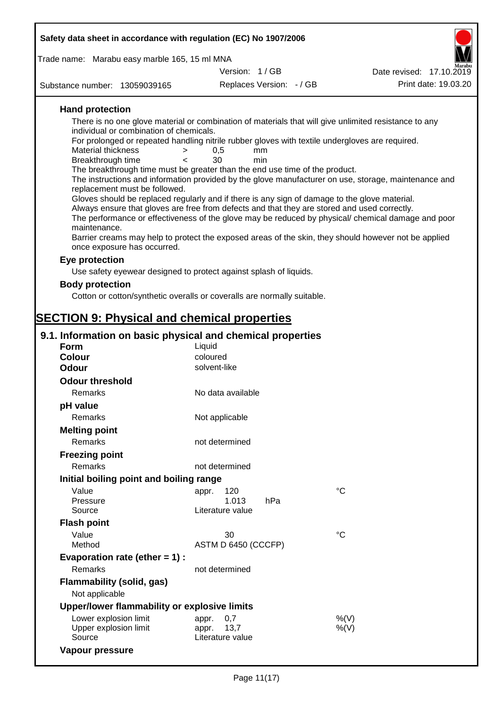| Safety data sheet in accordance with regulation (EC) No 1907/2006                                                                          |                       |                          |                                                                                                      |
|--------------------------------------------------------------------------------------------------------------------------------------------|-----------------------|--------------------------|------------------------------------------------------------------------------------------------------|
| Trade name: Marabu easy marble 165, 15 ml MNA                                                                                              |                       |                          |                                                                                                      |
|                                                                                                                                            | Version: 1/GB         |                          | Date revised: 17.10.2019                                                                             |
| Substance number: 13059039165                                                                                                              |                       | Replaces Version: - / GB | Print date: 19.03.20                                                                                 |
| <b>Hand protection</b>                                                                                                                     |                       |                          |                                                                                                      |
| There is no one glove material or combination of materials that will give unlimited resistance to any                                      |                       |                          |                                                                                                      |
| individual or combination of chemicals.<br>For prolonged or repeated handling nitrile rubber gloves with textile undergloves are required. |                       |                          |                                                                                                      |
| <b>Material thickness</b><br>$\geq$                                                                                                        | 0,5                   | mm                       |                                                                                                      |
| Breakthrough time<br>$\epsilon$                                                                                                            | 30                    | min                      |                                                                                                      |
| The breakthrough time must be greater than the end use time of the product.                                                                |                       |                          | The instructions and information provided by the glove manufacturer on use, storage, maintenance and |
| replacement must be followed.                                                                                                              |                       |                          |                                                                                                      |
| Gloves should be replaced regularly and if there is any sign of damage to the glove material.                                              |                       |                          |                                                                                                      |
| Always ensure that gloves are free from defects and that they are stored and used correctly.                                               |                       |                          |                                                                                                      |
| maintenance.                                                                                                                               |                       |                          | The performance or effectiveness of the glove may be reduced by physical/ chemical damage and poor   |
|                                                                                                                                            |                       |                          | Barrier creams may help to protect the exposed areas of the skin, they should however not be applied |
| once exposure has occurred.                                                                                                                |                       |                          |                                                                                                      |
| Eye protection                                                                                                                             |                       |                          |                                                                                                      |
| Use safety eyewear designed to protect against splash of liquids.                                                                          |                       |                          |                                                                                                      |
| <b>Body protection</b>                                                                                                                     |                       |                          |                                                                                                      |
| Cotton or cotton/synthetic overalls or coveralls are normally suitable.                                                                    |                       |                          |                                                                                                      |
|                                                                                                                                            |                       |                          |                                                                                                      |
| <b>SECTION 9: Physical and chemical properties</b>                                                                                         |                       |                          |                                                                                                      |
| 9.1. Information on basic physical and chemical properties                                                                                 |                       |                          |                                                                                                      |
| <b>Form</b>                                                                                                                                | Liquid                |                          |                                                                                                      |
| <b>Colour</b>                                                                                                                              | coloured              |                          |                                                                                                      |
| <b>Odour</b>                                                                                                                               | solvent-like          |                          |                                                                                                      |
| <b>Odour threshold</b>                                                                                                                     |                       |                          |                                                                                                      |
| Remarks                                                                                                                                    | No data available     |                          |                                                                                                      |
| pH value                                                                                                                                   |                       |                          |                                                                                                      |
| Remarks                                                                                                                                    | Not applicable        |                          |                                                                                                      |
| <b>Melting point</b>                                                                                                                       |                       |                          |                                                                                                      |
| Remarks                                                                                                                                    | not determined        |                          |                                                                                                      |
| <b>Freezing point</b>                                                                                                                      |                       |                          |                                                                                                      |
| Remarks                                                                                                                                    | not determined        |                          |                                                                                                      |
| Initial boiling point and boiling range                                                                                                    |                       |                          |                                                                                                      |
| Value<br>Pressure                                                                                                                          | 120<br>appr.<br>1.013 | hPa                      | $^{\circ}C$                                                                                          |
| Source                                                                                                                                     | Literature value      |                          |                                                                                                      |
| <b>Flash point</b>                                                                                                                         |                       |                          |                                                                                                      |
| Value                                                                                                                                      | 30                    |                          | $\rm ^{\circ}C$                                                                                      |
| Method                                                                                                                                     | ASTM D 6450 (CCCFP)   |                          |                                                                                                      |
| Evaporation rate (ether $= 1$ ) :                                                                                                          |                       |                          |                                                                                                      |
| Remarks                                                                                                                                    | not determined        |                          |                                                                                                      |
| <b>Flammability (solid, gas)</b><br>Not applicable                                                                                         |                       |                          |                                                                                                      |
| Upper/lower flammability or explosive limits                                                                                               |                       |                          |                                                                                                      |

| <b>OPPUNIONGL HANDROMITY OF CAPIOSITG INITIA</b> |                  |      |
|--------------------------------------------------|------------------|------|
| Lower explosion limit                            | appr. 0.7        | %(V) |
| Upper explosion limit                            | appr. 13.7       | %(V) |
| Source                                           | Literature value |      |
| Vapour pressure                                  |                  |      |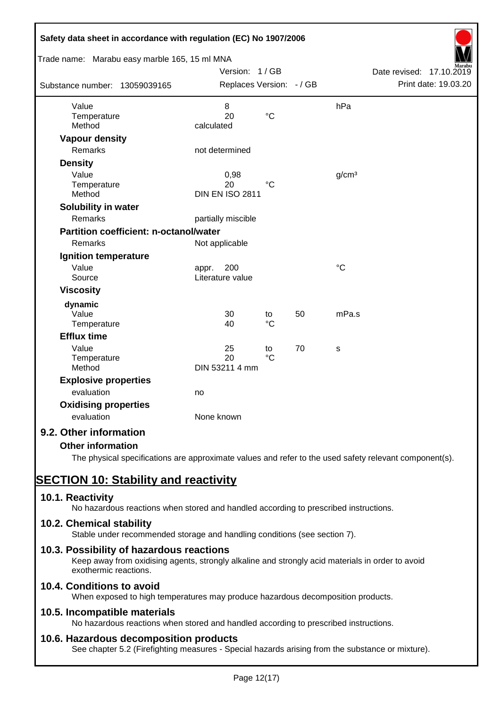| Safety data sheet in accordance with regulation (EC) No 1907/2006 |                          |                 |    |                   |                          |
|-------------------------------------------------------------------|--------------------------|-----------------|----|-------------------|--------------------------|
| Trade name: Marabu easy marble 165, 15 ml MNA                     | Version: 1/GB            |                 |    |                   | Date revised: 17.10.2019 |
|                                                                   |                          |                 |    |                   | Print date: 19.03.20     |
| Substance number: 13059039165                                     | Replaces Version: - / GB |                 |    |                   |                          |
| Value                                                             | 8                        |                 |    | hPa               |                          |
| Temperature                                                       | 20                       | $\rm ^{\circ}C$ |    |                   |                          |
| Method                                                            | calculated               |                 |    |                   |                          |
| <b>Vapour density</b>                                             |                          |                 |    |                   |                          |
| Remarks                                                           | not determined           |                 |    |                   |                          |
| <b>Density</b>                                                    |                          |                 |    |                   |                          |
| Value                                                             | 0,98                     |                 |    | g/cm <sup>3</sup> |                          |
| Temperature                                                       | 20                       | $\rm ^{\circ}C$ |    |                   |                          |
| Method                                                            | <b>DIN EN ISO 2811</b>   |                 |    |                   |                          |
| Solubility in water                                               |                          |                 |    |                   |                          |
| Remarks                                                           | partially miscible       |                 |    |                   |                          |
| <b>Partition coefficient: n-octanol/water</b>                     |                          |                 |    |                   |                          |
| Remarks                                                           | Not applicable           |                 |    |                   |                          |
| Ignition temperature                                              |                          |                 |    |                   |                          |
| Value                                                             | 200<br>appr.             |                 |    | $\rm ^{\circ}C$   |                          |
| Source                                                            | Literature value         |                 |    |                   |                          |
| <b>Viscosity</b>                                                  |                          |                 |    |                   |                          |
| dynamic                                                           |                          |                 |    |                   |                          |
| Value                                                             | 30                       | to              | 50 | mPa.s             |                          |
| Temperature                                                       | 40                       | $\rm ^{\circ}C$ |    |                   |                          |
| <b>Efflux time</b>                                                |                          |                 |    |                   |                          |
| Value                                                             | 25                       | to              | 70 | s                 |                          |
| Temperature                                                       | 20                       | $\rm ^{\circ}C$ |    |                   |                          |
| Method                                                            | DIN 53211 4 mm           |                 |    |                   |                          |
| <b>Explosive properties</b>                                       |                          |                 |    |                   |                          |
| evaluation                                                        | no                       |                 |    |                   |                          |
| <b>Oxidising properties</b>                                       |                          |                 |    |                   |                          |
| evaluation                                                        | None known               |                 |    |                   |                          |
| 9.2. Other information                                            |                          |                 |    |                   |                          |
| <b>Other information</b>                                          |                          |                 |    |                   |                          |

The physical specifications are approximate values and refer to the used safety relevant component(s).

# **SECTION 10: Stability and reactivity**

# **10.1. Reactivity**

No hazardous reactions when stored and handled according to prescribed instructions.

# **10.2. Chemical stability**

Stable under recommended storage and handling conditions (see section 7).

# **10.3. Possibility of hazardous reactions**

Keep away from oxidising agents, strongly alkaline and strongly acid materials in order to avoid exothermic reactions.

# **10.4. Conditions to avoid**

When exposed to high temperatures may produce hazardous decomposition products.

# **10.5. Incompatible materials**

No hazardous reactions when stored and handled according to prescribed instructions.

# **10.6. Hazardous decomposition products**

See chapter 5.2 (Firefighting measures - Special hazards arising from the substance or mixture).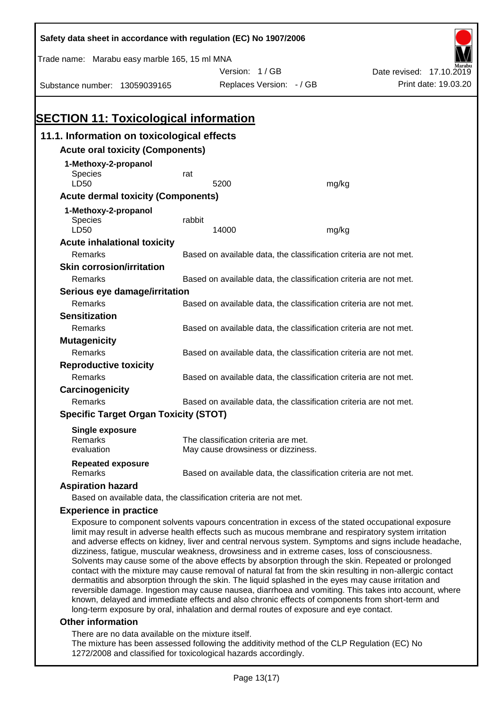| Safety data sheet in accordance with regulation (EC) No 1907/2006                                                                                                                                          |                                                                   |                                                                   |       |                                                                                                     |  |  |
|------------------------------------------------------------------------------------------------------------------------------------------------------------------------------------------------------------|-------------------------------------------------------------------|-------------------------------------------------------------------|-------|-----------------------------------------------------------------------------------------------------|--|--|
| Trade name: Marabu easy marble 165, 15 ml MNA                                                                                                                                                              |                                                                   |                                                                   |       |                                                                                                     |  |  |
|                                                                                                                                                                                                            |                                                                   | Version: 1/GB                                                     |       | Date revised: 17.10.2019                                                                            |  |  |
| Substance number: 13059039165                                                                                                                                                                              |                                                                   | Replaces Version: - / GB                                          |       | Print date: 19.03.20                                                                                |  |  |
|                                                                                                                                                                                                            |                                                                   |                                                                   |       |                                                                                                     |  |  |
|                                                                                                                                                                                                            |                                                                   |                                                                   |       |                                                                                                     |  |  |
| <b>SECTION 11: Toxicological information</b>                                                                                                                                                               |                                                                   |                                                                   |       |                                                                                                     |  |  |
| 11.1. Information on toxicological effects                                                                                                                                                                 |                                                                   |                                                                   |       |                                                                                                     |  |  |
| <b>Acute oral toxicity (Components)</b>                                                                                                                                                                    |                                                                   |                                                                   |       |                                                                                                     |  |  |
| 1-Methoxy-2-propanol                                                                                                                                                                                       |                                                                   |                                                                   |       |                                                                                                     |  |  |
| <b>Species</b>                                                                                                                                                                                             | rat                                                               |                                                                   |       |                                                                                                     |  |  |
| LD50                                                                                                                                                                                                       |                                                                   | 5200                                                              | mg/kg |                                                                                                     |  |  |
| <b>Acute dermal toxicity (Components)</b>                                                                                                                                                                  |                                                                   |                                                                   |       |                                                                                                     |  |  |
| 1-Methoxy-2-propanol                                                                                                                                                                                       |                                                                   |                                                                   |       |                                                                                                     |  |  |
| Species                                                                                                                                                                                                    | rabbit                                                            |                                                                   |       |                                                                                                     |  |  |
| LD50                                                                                                                                                                                                       |                                                                   | 14000                                                             | mg/kg |                                                                                                     |  |  |
| <b>Acute inhalational toxicity</b>                                                                                                                                                                         |                                                                   |                                                                   |       |                                                                                                     |  |  |
| Remarks                                                                                                                                                                                                    |                                                                   | Based on available data, the classification criteria are not met. |       |                                                                                                     |  |  |
| <b>Skin corrosion/irritation</b>                                                                                                                                                                           |                                                                   |                                                                   |       |                                                                                                     |  |  |
| Remarks                                                                                                                                                                                                    | Based on available data, the classification criteria are not met. |                                                                   |       |                                                                                                     |  |  |
| Serious eye damage/irritation                                                                                                                                                                              |                                                                   |                                                                   |       |                                                                                                     |  |  |
| Remarks                                                                                                                                                                                                    | Based on available data, the classification criteria are not met. |                                                                   |       |                                                                                                     |  |  |
| <b>Sensitization</b>                                                                                                                                                                                       |                                                                   |                                                                   |       |                                                                                                     |  |  |
| Remarks                                                                                                                                                                                                    |                                                                   | Based on available data, the classification criteria are not met. |       |                                                                                                     |  |  |
| <b>Mutagenicity</b>                                                                                                                                                                                        |                                                                   |                                                                   |       |                                                                                                     |  |  |
| Remarks                                                                                                                                                                                                    |                                                                   | Based on available data, the classification criteria are not met. |       |                                                                                                     |  |  |
| <b>Reproductive toxicity</b>                                                                                                                                                                               |                                                                   |                                                                   |       |                                                                                                     |  |  |
| Remarks                                                                                                                                                                                                    |                                                                   | Based on available data, the classification criteria are not met. |       |                                                                                                     |  |  |
| Carcinogenicity                                                                                                                                                                                            |                                                                   |                                                                   |       |                                                                                                     |  |  |
| Remarks                                                                                                                                                                                                    |                                                                   | Based on available data, the classification criteria are not met. |       |                                                                                                     |  |  |
| <b>Specific Target Organ Toxicity (STOT)</b>                                                                                                                                                               |                                                                   |                                                                   |       |                                                                                                     |  |  |
| <b>Single exposure</b>                                                                                                                                                                                     |                                                                   |                                                                   |       |                                                                                                     |  |  |
| Remarks                                                                                                                                                                                                    |                                                                   | The classification criteria are met.                              |       |                                                                                                     |  |  |
| evaluation                                                                                                                                                                                                 |                                                                   | May cause drowsiness or dizziness.                                |       |                                                                                                     |  |  |
| <b>Repeated exposure</b><br>Remarks                                                                                                                                                                        |                                                                   | Based on available data, the classification criteria are not met. |       |                                                                                                     |  |  |
|                                                                                                                                                                                                            |                                                                   |                                                                   |       |                                                                                                     |  |  |
| <b>Aspiration hazard</b><br>Based on available data, the classification criteria are not met.                                                                                                              |                                                                   |                                                                   |       |                                                                                                     |  |  |
|                                                                                                                                                                                                            |                                                                   |                                                                   |       |                                                                                                     |  |  |
| <b>Experience in practice</b>                                                                                                                                                                              |                                                                   |                                                                   |       |                                                                                                     |  |  |
| Exposure to component solvents vapours concentration in excess of the stated occupational exposure<br>limit may result in adverse health effects such as mucous membrane and respiratory system irritation |                                                                   |                                                                   |       | and adverse effects on kidney liver and control pervous system. Symptoms and signs include beadashe |  |  |

and adverse effects on kidney, liver and central nervous system. Symptoms and signs include headache, dizziness, fatigue, muscular weakness, drowsiness and in extreme cases, loss of consciousness. Solvents may cause some of the above effects by absorption through the skin. Repeated or prolonged contact with the mixture may cause removal of natural fat from the skin resulting in non-allergic contact dermatitis and absorption through the skin. The liquid splashed in the eyes may cause irritation and reversible damage. Ingestion may cause nausea, diarrhoea and vomiting. This takes into account, where known, delayed and immediate effects and also chronic effects of components from short-term and long-term exposure by oral, inhalation and dermal routes of exposure and eye contact.

#### **Other information**

There are no data available on the mixture itself.

The mixture has been assessed following the additivity method of the CLP Regulation (EC) No 1272/2008 and classified for toxicological hazards accordingly.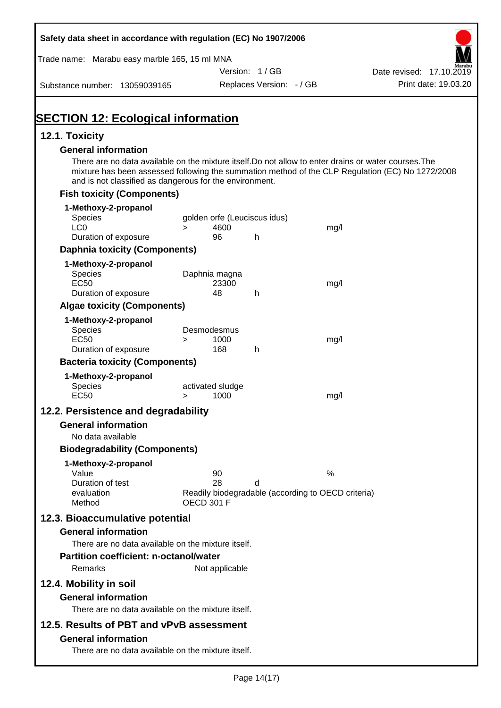| Safety data sheet in accordance with regulation (EC) No 1907/2006                                                                                                |                   |                  |                              |                                                    |                                                                                                  |
|------------------------------------------------------------------------------------------------------------------------------------------------------------------|-------------------|------------------|------------------------------|----------------------------------------------------|--------------------------------------------------------------------------------------------------|
| Trade name: Marabu easy marble 165, 15 ml MNA                                                                                                                    |                   |                  |                              |                                                    |                                                                                                  |
|                                                                                                                                                                  |                   |                  | Version: 1/GB                |                                                    | Date revised: 17.10.2019                                                                         |
| Substance number: 13059039165                                                                                                                                    |                   |                  | Replaces Version: - / GB     |                                                    | Print date: 19.03.20                                                                             |
| <b>SECTION 12: Ecological information</b>                                                                                                                        |                   |                  |                              |                                                    |                                                                                                  |
| 12.1. Toxicity                                                                                                                                                   |                   |                  |                              |                                                    |                                                                                                  |
| <b>General information</b>                                                                                                                                       |                   |                  |                              |                                                    |                                                                                                  |
| There are no data available on the mixture itself. Do not allow to enter drains or water courses. The<br>and is not classified as dangerous for the environment. |                   |                  |                              |                                                    | mixture has been assessed following the summation method of the CLP Regulation (EC) No 1272/2008 |
| <b>Fish toxicity (Components)</b>                                                                                                                                |                   |                  |                              |                                                    |                                                                                                  |
| 1-Methoxy-2-propanol                                                                                                                                             |                   |                  |                              |                                                    |                                                                                                  |
| <b>Species</b>                                                                                                                                                   |                   |                  | golden orfe (Leuciscus idus) |                                                    |                                                                                                  |
| LC <sub>0</sub><br>Duration of exposure                                                                                                                          | $\geq$            | 4600<br>96       | h                            | mg/l                                               |                                                                                                  |
| <b>Daphnia toxicity (Components)</b>                                                                                                                             |                   |                  |                              |                                                    |                                                                                                  |
|                                                                                                                                                                  |                   |                  |                              |                                                    |                                                                                                  |
| 1-Methoxy-2-propanol<br><b>Species</b>                                                                                                                           | Daphnia magna     |                  |                              |                                                    |                                                                                                  |
| <b>EC50</b>                                                                                                                                                      |                   | 23300            |                              | mg/l                                               |                                                                                                  |
| Duration of exposure                                                                                                                                             |                   | 48               | h                            |                                                    |                                                                                                  |
| <b>Algae toxicity (Components)</b>                                                                                                                               |                   |                  |                              |                                                    |                                                                                                  |
| 1-Methoxy-2-propanol                                                                                                                                             |                   |                  |                              |                                                    |                                                                                                  |
| <b>Species</b>                                                                                                                                                   | Desmodesmus       |                  |                              |                                                    |                                                                                                  |
| <b>EC50</b><br>Duration of exposure                                                                                                                              | $\geq$            | 1000<br>168      | h                            | mg/l                                               |                                                                                                  |
| <b>Bacteria toxicity (Components)</b>                                                                                                                            |                   |                  |                              |                                                    |                                                                                                  |
| 1-Methoxy-2-propanol                                                                                                                                             |                   |                  |                              |                                                    |                                                                                                  |
| <b>Species</b>                                                                                                                                                   |                   | activated sludge |                              |                                                    |                                                                                                  |
| <b>EC50</b>                                                                                                                                                      | $\geq$            | 1000             |                              | mg/l                                               |                                                                                                  |
| 12.2. Persistence and degradability                                                                                                                              |                   |                  |                              |                                                    |                                                                                                  |
| <b>General information</b>                                                                                                                                       |                   |                  |                              |                                                    |                                                                                                  |
| No data available                                                                                                                                                |                   |                  |                              |                                                    |                                                                                                  |
| <b>Biodegradability (Components)</b>                                                                                                                             |                   |                  |                              |                                                    |                                                                                                  |
| 1-Methoxy-2-propanol                                                                                                                                             |                   |                  |                              |                                                    |                                                                                                  |
| Value                                                                                                                                                            |                   | 90               |                              | %                                                  |                                                                                                  |
| Duration of test<br>evaluation                                                                                                                                   |                   | 28               | d                            | Readily biodegradable (according to OECD criteria) |                                                                                                  |
| Method                                                                                                                                                           | <b>OECD 301 F</b> |                  |                              |                                                    |                                                                                                  |
| 12.3. Bioaccumulative potential                                                                                                                                  |                   |                  |                              |                                                    |                                                                                                  |
| <b>General information</b>                                                                                                                                       |                   |                  |                              |                                                    |                                                                                                  |
| There are no data available on the mixture itself.                                                                                                               |                   |                  |                              |                                                    |                                                                                                  |
| <b>Partition coefficient: n-octanol/water</b>                                                                                                                    |                   |                  |                              |                                                    |                                                                                                  |
| Remarks                                                                                                                                                          |                   | Not applicable   |                              |                                                    |                                                                                                  |
| 12.4. Mobility in soil                                                                                                                                           |                   |                  |                              |                                                    |                                                                                                  |
|                                                                                                                                                                  |                   |                  |                              |                                                    |                                                                                                  |
| <b>General information</b><br>There are no data available on the mixture itself.                                                                                 |                   |                  |                              |                                                    |                                                                                                  |
|                                                                                                                                                                  |                   |                  |                              |                                                    |                                                                                                  |
| 12.5. Results of PBT and vPvB assessment                                                                                                                         |                   |                  |                              |                                                    |                                                                                                  |
| <b>General information</b>                                                                                                                                       |                   |                  |                              |                                                    |                                                                                                  |
| There are no data available on the mixture itself.                                                                                                               |                   |                  |                              |                                                    |                                                                                                  |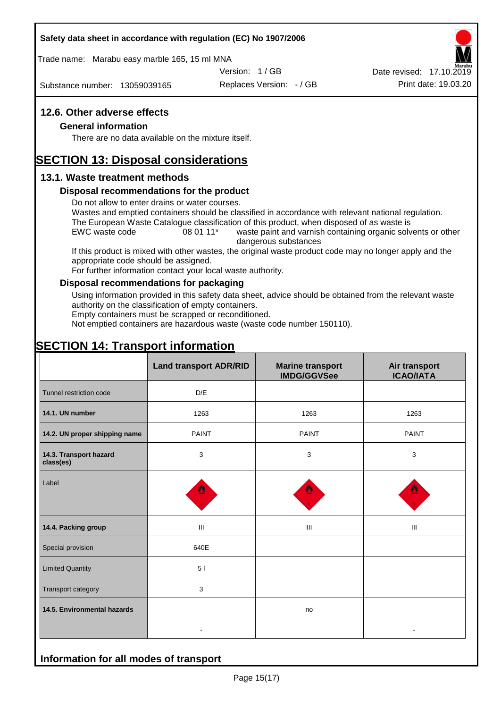#### **Safety data sheet in accordance with regulation (EC) No 1907/2006**

Trade name: Marabu easy marble 165, 15 ml MNA

Version: 1 / GB

Substance number: 13059039165

Replaces Version: - / GB Print date: 19.03.20 Date revised: 17.10.2019

#### **12.6. Other adverse effects**

#### **General information**

There are no data available on the mixture itself.

# **SECTION 13: Disposal considerations**

#### **13.1. Waste treatment methods**

#### **Disposal recommendations for the product**

Do not allow to enter drains or water courses.

Wastes and emptied containers should be classified in accordance with relevant national regulation. The European Waste Catalogue classification of this product, when disposed of as waste is

EWC waste code 08 01 11<sup>\*</sup> waste paint and varnish containing organic solvents or other dangerous substances

If this product is mixed with other wastes, the original waste product code may no longer apply and the appropriate code should be assigned.

For further information contact your local waste authority.

#### **Disposal recommendations for packaging**

Using information provided in this safety data sheet, advice should be obtained from the relevant waste authority on the classification of empty containers.

Empty containers must be scrapped or reconditioned.

Not emptied containers are hazardous waste (waste code number 150110).

# **SECTION 14: Transport information**

**Information for all modes of transport**

|                                     | <b>Land transport ADR/RID</b> | <b>Marine transport</b><br><b>IMDG/GGVSee</b> | Air transport<br><b>ICAO/IATA</b> |
|-------------------------------------|-------------------------------|-----------------------------------------------|-----------------------------------|
| Tunnel restriction code             | D/E                           |                                               |                                   |
| 14.1. UN number                     | 1263                          | 1263                                          | 1263                              |
| 14.2. UN proper shipping name       | <b>PAINT</b>                  | <b>PAINT</b>                                  | <b>PAINT</b>                      |
| 14.3. Transport hazard<br>class(es) | 3                             | $\mathbf{3}$                                  | 3                                 |
| Label                               |                               |                                               |                                   |
| 14.4. Packing group                 | Ш                             | Ш                                             | Ш                                 |
| Special provision                   | 640E                          |                                               |                                   |
| <b>Limited Quantity</b>             | 51                            |                                               |                                   |
| Transport category                  | $\mathbf{3}$                  |                                               |                                   |
| 14.5. Environmental hazards         |                               | no                                            |                                   |
|                                     |                               |                                               |                                   |

Page 15(17)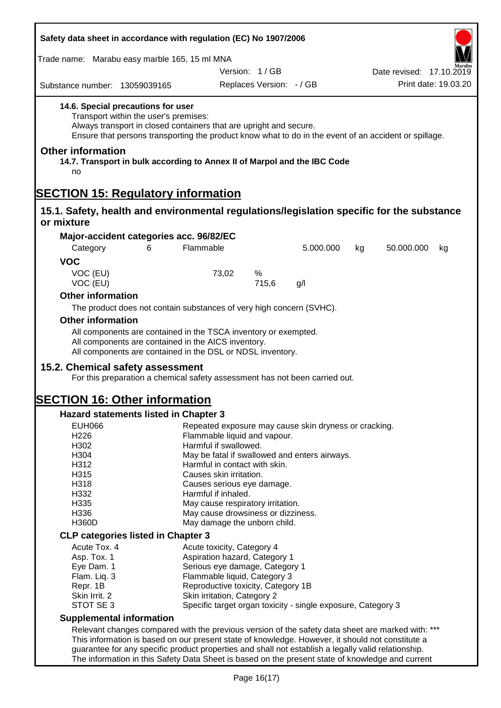| Safety data sheet in accordance with regulation (EC) No 1907/2006                                                                                                                                                                                          |                                                                                       |                          |           |    |                          |                      |
|------------------------------------------------------------------------------------------------------------------------------------------------------------------------------------------------------------------------------------------------------------|---------------------------------------------------------------------------------------|--------------------------|-----------|----|--------------------------|----------------------|
| Trade name: Marabu easy marble 165, 15 ml MNA                                                                                                                                                                                                              |                                                                                       |                          |           |    |                          |                      |
|                                                                                                                                                                                                                                                            |                                                                                       | Version: 1/GB            |           |    | Date revised: 17.10.2019 |                      |
| Substance number: 13059039165                                                                                                                                                                                                                              |                                                                                       | Replaces Version: - / GB |           |    |                          | Print date: 19.03.20 |
| 14.6. Special precautions for user<br>Transport within the user's premises:<br>Always transport in closed containers that are upright and secure.<br>Ensure that persons transporting the product know what to do in the event of an accident or spillage. |                                                                                       |                          |           |    |                          |                      |
| <b>Other information</b><br>14.7. Transport in bulk according to Annex II of Marpol and the IBC Code<br>no                                                                                                                                                 |                                                                                       |                          |           |    |                          |                      |
| <b>SECTION 15: Regulatory information</b>                                                                                                                                                                                                                  |                                                                                       |                          |           |    |                          |                      |
| 15.1. Safety, health and environmental regulations/legislation specific for the substance<br>or mixture                                                                                                                                                    |                                                                                       |                          |           |    |                          |                      |
| Major-accident categories acc. 96/82/EC                                                                                                                                                                                                                    |                                                                                       |                          |           |    |                          |                      |
| 6<br>Category                                                                                                                                                                                                                                              | Flammable                                                                             |                          | 5.000.000 | kg | 50.000.000               | kg                   |
| <b>VOC</b>                                                                                                                                                                                                                                                 |                                                                                       |                          |           |    |                          |                      |
| VOC (EU)<br>VOC (EU)                                                                                                                                                                                                                                       | 73,02                                                                                 | %<br>715,6               | g/l       |    |                          |                      |
| <b>Other information</b>                                                                                                                                                                                                                                   |                                                                                       |                          |           |    |                          |                      |
| The product does not contain substances of very high concern (SVHC).                                                                                                                                                                                       |                                                                                       |                          |           |    |                          |                      |
| <b>Other information</b>                                                                                                                                                                                                                                   |                                                                                       |                          |           |    |                          |                      |
| All components are contained in the TSCA inventory or exempted.<br>All components are contained in the AICS inventory.<br>All components are contained in the DSL or NDSL inventory.<br>15.2. Chemical safety assessment                                   |                                                                                       |                          |           |    |                          |                      |
| For this preparation a chemical safety assessment has not been carried out.<br><b>ISECTION 16: Other information</b>                                                                                                                                       |                                                                                       |                          |           |    |                          |                      |
|                                                                                                                                                                                                                                                            |                                                                                       |                          |           |    |                          |                      |
| <b>Hazard statements listed in Chapter 3</b><br><b>EUH066</b>                                                                                                                                                                                              |                                                                                       |                          |           |    |                          |                      |
| H <sub>226</sub>                                                                                                                                                                                                                                           | Repeated exposure may cause skin dryness or cracking.<br>Flammable liquid and vapour. |                          |           |    |                          |                      |
| H302                                                                                                                                                                                                                                                       | Harmful if swallowed.                                                                 |                          |           |    |                          |                      |
| H304                                                                                                                                                                                                                                                       | May be fatal if swallowed and enters airways.                                         |                          |           |    |                          |                      |
| H312<br>H315                                                                                                                                                                                                                                               | Harmful in contact with skin.<br>Causes skin irritation.                              |                          |           |    |                          |                      |
| H318                                                                                                                                                                                                                                                       | Causes serious eye damage.                                                            |                          |           |    |                          |                      |
| H332                                                                                                                                                                                                                                                       | Harmful if inhaled.                                                                   |                          |           |    |                          |                      |
| H335                                                                                                                                                                                                                                                       | May cause respiratory irritation.                                                     |                          |           |    |                          |                      |
| H336                                                                                                                                                                                                                                                       | May cause drowsiness or dizziness.                                                    |                          |           |    |                          |                      |
| <b>H360D</b>                                                                                                                                                                                                                                               | May damage the unborn child.                                                          |                          |           |    |                          |                      |
| <b>CLP categories listed in Chapter 3</b>                                                                                                                                                                                                                  |                                                                                       |                          |           |    |                          |                      |
| Acute Tox. 4                                                                                                                                                                                                                                               | Acute toxicity, Category 4                                                            |                          |           |    |                          |                      |
| Asp. Tox. 1<br>Eye Dam. 1                                                                                                                                                                                                                                  | Aspiration hazard, Category 1<br>Serious eye damage, Category 1                       |                          |           |    |                          |                      |
| Flam. Liq. 3                                                                                                                                                                                                                                               | Flammable liquid, Category 3                                                          |                          |           |    |                          |                      |
| Repr. 1B                                                                                                                                                                                                                                                   | Reproductive toxicity, Category 1B                                                    |                          |           |    |                          |                      |
| Skin Irrit. 2                                                                                                                                                                                                                                              | Skin irritation, Category 2                                                           |                          |           |    |                          |                      |
| STOT SE 3                                                                                                                                                                                                                                                  | Specific target organ toxicity - single exposure, Category 3                          |                          |           |    |                          |                      |
| <b>Supplemental information</b>                                                                                                                                                                                                                            |                                                                                       |                          |           |    |                          |                      |
| Relevant changes compared with the previous version of the safety data sheet are marked with: ***                                                                                                                                                          |                                                                                       |                          |           |    |                          |                      |
| This information is based on our present state of knowledge. However, it should not constitute a                                                                                                                                                           |                                                                                       |                          |           |    |                          |                      |
| guarantee for any specific product properties and shall not establish a legally valid relationship.<br>The information in this Safety Data Sheet is based on the present state of knowledge and current                                                    |                                                                                       |                          |           |    |                          |                      |